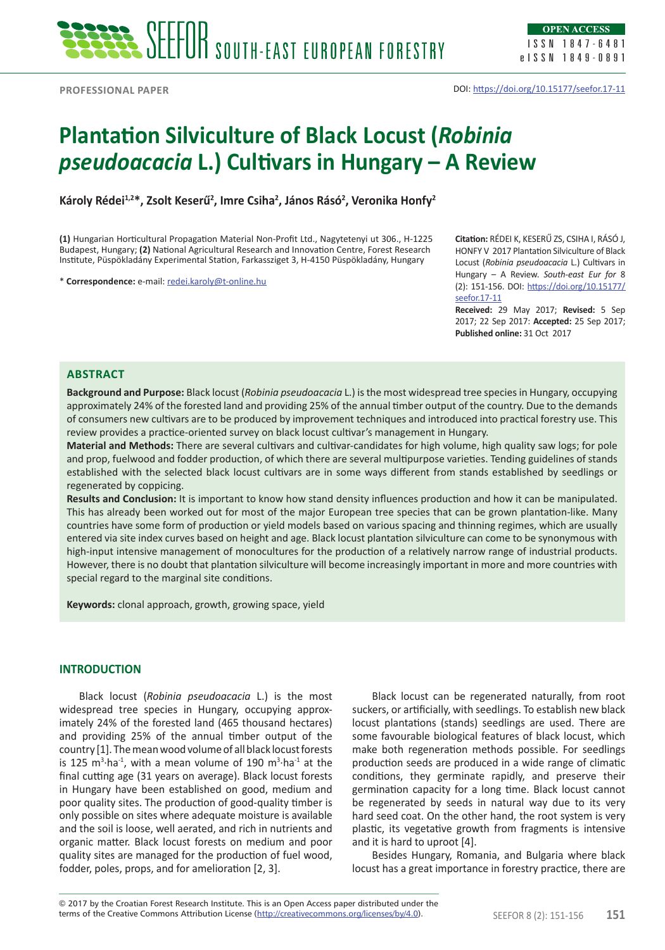# **Plantation Silviculture of Black Locust (***Robinia pseudoacacia* **L.) Cultivars in Hungary – A Review**

Károly Rédei<sup>1,2\*</sup>, Zsolt Keserű<sup>2</sup>, Imre Csiha<sup>2</sup>, János Rásó<sup>2</sup>, Veronika Honfy<sup>2</sup>

**(1)** Hungarian Horticultural Propagation Material Non-Profit Ltd., Nagytetenyi ut 306., H-1225 Budapest, Hungary; **(2)** National Agricultural Research and Innovation Centre, Forest Research Institute, Püspökladány Experimental Station, Farkassziget 3, H-4150 Püspökladány, Hungary

\* **Correspondence:** e-mail: [redei.karoly@t-online.hu](mailto:redei.karoly@t-online.hu)

**Citation:** RÉDEI K, KESERŰ ZS, CSIHA I, RÁSÓ J, HONFY V 2017 Plantation Silviculture of Black Locust (*Robinia pseudoacacia* L.) Cultivars in Hungary – A Review. *South-east Eur for* 8 (2): 151-156. DOI: [https://doi.org/10.15177/](https://doi.org/10.15177/seefor.17-11) [seefor.17-11](https://doi.org/10.15177/seefor.17-11)

**Received:** 29 May 2017; **Revised:** 5 Sep 2017; 22 Sep 2017: **Accepted:** 25 Sep 2017; **Published online:** 31 Oct 2017

# **Abstract**

**Background and Purpose:** Black locust (*Robinia pseudoacacia* L.) is the most widespread tree species in Hungary, occupying approximately 24% of the forested land and providing 25% of the annual timber output of the country. Due to the demands of consumers new cultivars are to be produced by improvement techniques and introduced into practical forestry use. This review provides a practice-oriented survey on black locust cultivar's management in Hungary.

**Material and Methods:** There are several cultivars and cultivar-candidates for high volume, high quality saw logs; for pole and prop, fuelwood and fodder production, of which there are several multipurpose varieties. Tending guidelines of stands established with the selected black locust cultivars are in some ways different from stands established by seedlings or regenerated by coppicing.

**Results and Conclusion:** It is important to know how stand density influences production and how it can be manipulated. This has already been worked out for most of the major European tree species that can be grown plantation-like. Many countries have some form of production or yield models based on various spacing and thinning regimes, which are usually entered via site index curves based on height and age. Black locust plantation silviculture can come to be synonymous with high-input intensive management of monocultures for the production of a relatively narrow range of industrial products. However, there is no doubt that plantation silviculture will become increasingly important in more and more countries with special regard to the marginal site conditions.

**Keywords:** clonal approach, growth, growing space, yield

# **INTRODUCTION**

Black locust (*Robinia pseudoacacia* L.) is the most widespread tree species in Hungary, occupying approximately 24% of the forested land (465 thousand hectares) and providing 25% of the annual timber output of the country [1]. The mean wood volume of all black locust forests is 125 m<sup>3</sup>·ha<sup>-1</sup>, with a mean volume of 190 m<sup>3</sup>·ha<sup>-1</sup> at the final cutting age (31 years on average). Black locust forests in Hungary have been established on good, medium and poor quality sites. The production of good-quality timber is only possible on sites where adequate moisture is available and the soil is loose, well aerated, and rich in nutrients and organic matter. Black locust forests on medium and poor quality sites are managed for the production of fuel wood, fodder, poles, props, and for amelioration [2, 3].

Black locust can be regenerated naturally, from root suckers, or artificially, with seedlings. To establish new black locust plantations (stands) seedlings are used. There are some favourable biological features of black locust, which make both regeneration methods possible. For seedlings production seeds are produced in a wide range of climatic conditions, they germinate rapidly, and preserve their germination capacity for a long time. Black locust cannot be regenerated by seeds in natural way due to its very hard seed coat. On the other hand, the root system is very plastic, its vegetative growth from fragments is intensive and it is hard to uproot [4].

Besides Hungary, Romania, and Bulgaria where black locust has a great importance in forestry practice, there are

terms of the Creative Commons Attribution License (<u>http://creativecommons.org/licenses/by/4.0</u>). SEEFOR 8 (2): 151-156 **151** © 2017 by the Croatian Forest Research Institute. This is an Open Access paper distributed under the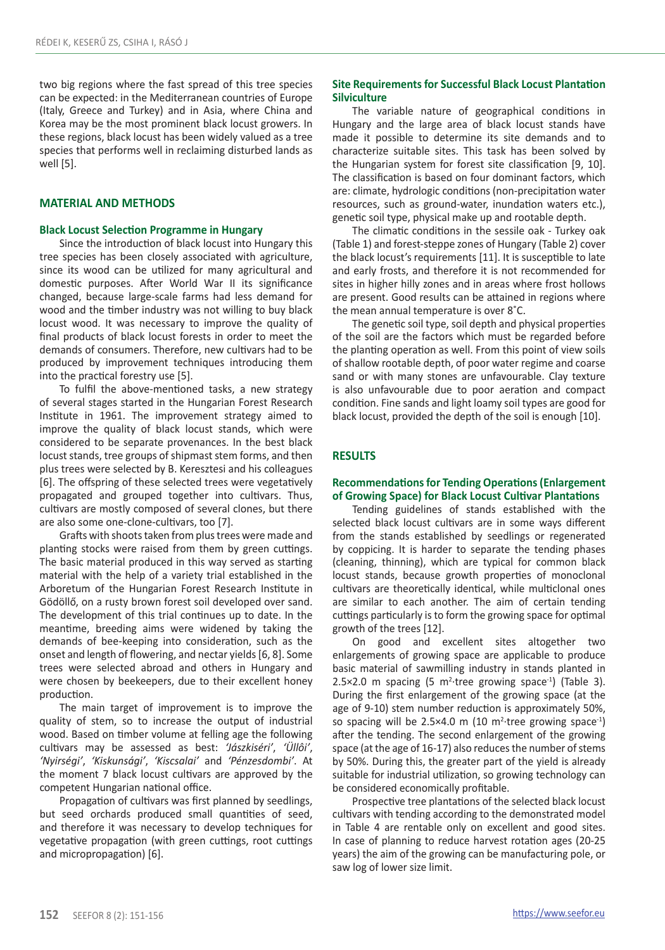two big regions where the fast spread of this tree species can be expected: in the Mediterranean countries of Europe (Italy, Greece and Turkey) and in Asia, where China and Korea may be the most prominent black locust growers. In these regions, black locust has been widely valued as a tree species that performs well in reclaiming disturbed lands as well [5].

### **MATERIAL AND METHODS**

#### **Black Locust Selection Programme in Hungary**

Since the introduction of black locust into Hungary this tree species has been closely associated with agriculture, since its wood can be utilized for many agricultural and domestic purposes. After World War II its significance changed, because large-scale farms had less demand for wood and the timber industry was not willing to buy black locust wood. It was necessary to improve the quality of final products of black locust forests in order to meet the demands of consumers. Therefore, new cultivars had to be produced by improvement techniques introducing them into the practical forestry use [5].

To fulfil the above-mentioned tasks, a new strategy of several stages started in the Hungarian Forest Research Institute in 1961. The improvement strategy aimed to improve the quality of black locust stands, which were considered to be separate provenances. In the best black locust stands, tree groups of shipmast stem forms, and then plus trees were selected by B. Keresztesi and his colleagues [6]. The offspring of these selected trees were vegetatively propagated and grouped together into cultivars. Thus, cultivars are mostly composed of several clones, but there are also some one-clone-cultivars, too [7].

Grafts with shoots taken from plus trees were made and planting stocks were raised from them by green cuttings. The basic material produced in this way served as starting material with the help of a variety trial established in the Arboretum of the Hungarian Forest Research Institute in Gödöllő, on a rusty brown forest soil developed over sand. The development of this trial continues up to date. In the meantime, breeding aims were widened by taking the demands of bee-keeping into consideration, such as the onset and length of flowering, and nectar yields [6, 8]. Some trees were selected abroad and others in Hungary and were chosen by beekeepers, due to their excellent honey production.

The main target of improvement is to improve the quality of stem, so to increase the output of industrial wood. Based on timber volume at felling age the following cultivars may be assessed as best: *'Jászkiséri'*, *'Üllôi'*, *'Nyirségi'*, *'Kiskunsági'*, *'Kiscsalai'* and *'Pénzesdombi'*. At the moment 7 black locust cultivars are approved by the competent Hungarian national office.

Propagation of cultivars was first planned by seedlings, but seed orchards produced small quantities of seed, and therefore it was necessary to develop techniques for vegetative propagation (with green cuttings, root cuttings and micropropagation) [6].

## **Site Requirements for Successful Black Locust Plantation Silviculture**

The variable nature of geographical conditions in Hungary and the large area of black locust stands have made it possible to determine its site demands and to characterize suitable sites. This task has been solved by the Hungarian system for forest site classification [9, 10]. The classification is based on four dominant factors, which are: climate, hydrologic conditions (non-precipitation water resources, such as ground-water, inundation waters etc.), genetic soil type, physical make up and rootable depth.

The climatic conditions in the sessile oak - Turkey oak (Table 1) and forest-steppe zones of Hungary (Table 2) cover the black locust's requirements [11]. It is susceptible to late and early frosts, and therefore it is not recommended for sites in higher hilly zones and in areas where frost hollows are present. Good results can be attained in regions where the mean annual temperature is over 8˚C.

The genetic soil type, soil depth and physical properties of the soil are the factors which must be regarded before the planting operation as well. From this point of view soils of shallow rootable depth, of poor water regime and coarse sand or with many stones are unfavourable. Clay texture is also unfavourable due to poor aeration and compact condition. Fine sands and light loamy soil types are good for black locust, provided the depth of the soil is enough [10].

#### **RESULTS**

#### **Recommendations for Tending Operations (Enlargement of Growing Space) for Black Locust Cultivar Plantations**

Tending guidelines of stands established with the selected black locust cultivars are in some ways different from the stands established by seedlings or regenerated by coppicing. It is harder to separate the tending phases (cleaning, thinning), which are typical for common black locust stands, because growth properties of monoclonal cultivars are theoretically identical, while multiclonal ones are similar to each another. The aim of certain tending cuttings particularly is to form the growing space for optimal growth of the trees [12].

On good and excellent sites altogether two enlargements of growing space are applicable to produce basic material of sawmilling industry in stands planted in 2.5 $\times$ 2.0 m spacing (5 m<sup>2</sup>·tree growing space<sup>-1</sup>) (Table 3). During the first enlargement of the growing space (at the age of 9-10) stem number reduction is approximately 50%, so spacing will be  $2.5 \times 4.0$  m (10 m<sup>2</sup>·tree growing space<sup>-1</sup>) after the tending. The second enlargement of the growing space (at the age of 16-17) also reduces the number of stems by 50%. During this, the greater part of the yield is already suitable for industrial utilization, so growing technology can be considered economically profitable.

Prospective tree plantations of the selected black locust cultivars with tending according to the demonstrated model in Table 4 are rentable only on excellent and good sites. In case of planning to reduce harvest rotation ages (20-25 years) the aim of the growing can be manufacturing pole, or saw log of lower size limit.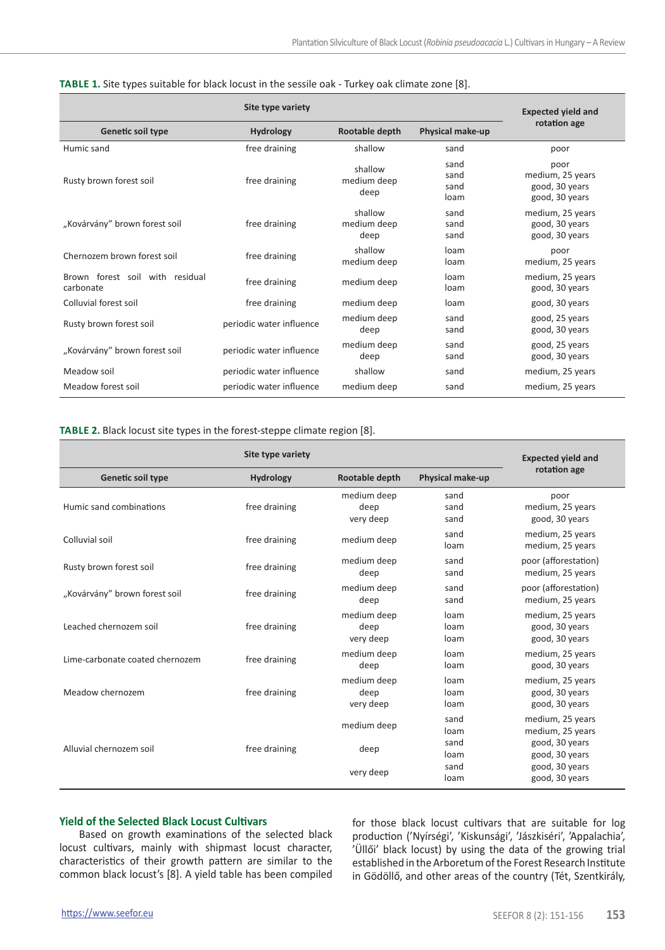|                                              | <b>Expected yield and</b> |                                |                              |                                                              |  |
|----------------------------------------------|---------------------------|--------------------------------|------------------------------|--------------------------------------------------------------|--|
| Genetic soil type                            | <b>Hydrology</b>          | Rootable depth                 | Physical make-up             | rotation age                                                 |  |
| Humic sand                                   | free draining             | shallow                        | sand                         | poor                                                         |  |
| Rusty brown forest soil                      | free draining             | shallow<br>medium deep<br>deep | sand<br>sand<br>sand<br>loam | poor<br>medium, 25 years<br>good, 30 years<br>good, 30 years |  |
| "Kovárvány" brown forest soil                | free draining             | shallow<br>medium deep<br>deep | sand<br>sand<br>sand         | medium, 25 years<br>good, 30 years<br>good, 30 years         |  |
| Chernozem brown forest soil                  | free draining             | shallow<br>medium deep         | loam<br>loam                 | poor<br>medium, 25 years                                     |  |
| Brown forest soil with residual<br>carbonate | free draining             | medium deep                    | loam<br>loam                 | medium, 25 years<br>good, 30 years                           |  |
| Colluvial forest soil                        | free draining             | medium deep                    | loam                         | good, 30 years                                               |  |
| Rusty brown forest soil                      | periodic water influence  | medium deep<br>deep            | sand<br>sand                 | good, 25 years<br>good, 30 years                             |  |
| "Kovárvány" brown forest soil                | periodic water influence  | medium deep<br>deep            | sand<br>sand                 | good, 25 years<br>good, 30 years                             |  |
| Meadow soil                                  | periodic water influence  | shallow                        | sand                         | medium, 25 years                                             |  |
| Meadow forest soil                           | periodic water influence  | medium deep                    | sand                         | medium, 25 years                                             |  |

|  | TABLE 1. Site types suitable for black locust in the sessile oak - Turkey oak climate zone [8]. |  |  |
|--|-------------------------------------------------------------------------------------------------|--|--|
|--|-------------------------------------------------------------------------------------------------|--|--|

#### **Table 2.** Black locust site types in the forest-steppe climate region [8].

|                                 | <b>Expected yield and</b>          |                                  |                      |                                                      |  |
|---------------------------------|------------------------------------|----------------------------------|----------------------|------------------------------------------------------|--|
| Genetic soil type               | Rootable depth<br><b>Hydrology</b> |                                  | Physical make-up     | rotation age                                         |  |
| Humic sand combinations         | free draining                      | medium deep<br>deep<br>very deep | sand<br>sand<br>sand | poor<br>medium, 25 years<br>good, 30 years           |  |
| Colluvial soil                  | free draining                      | medium deep                      | sand<br>loam         | medium, 25 years<br>medium, 25 years                 |  |
| Rusty brown forest soil         | free draining                      | medium deep<br>deep              | sand<br>sand         | poor (afforestation)<br>medium, 25 years             |  |
| "Kovárvány" brown forest soil   | free draining                      | medium deep<br>deep              | sand<br>sand         | poor (afforestation)<br>medium, 25 years             |  |
| Leached chernozem soil          | free draining                      | medium deep<br>deep<br>very deep | loam<br>loam<br>loam | medium, 25 years<br>good, 30 years<br>good, 30 years |  |
| Lime-carbonate coated chernozem | free draining                      | medium deep<br>deep              | loam<br>loam         | medium, 25 years<br>good, 30 years                   |  |
| Meadow chernozem                | free draining                      | medium deep<br>deep<br>very deep | loam<br>loam<br>loam | medium, 25 years<br>good, 30 years<br>good, 30 years |  |
|                                 |                                    | medium deep                      | sand<br>loam         | medium, 25 years<br>medium, 25 years                 |  |
| Alluvial chernozem soil         | free draining                      | deep                             | sand<br>loam         | good, 30 years<br>good, 30 years                     |  |
|                                 |                                    | very deep                        | sand<br>loam         | good, 30 years<br>good, 30 years                     |  |

# **Yield of the Selected Black Locust Cultivars**

Based on growth examinations of the selected black locust cultivars, mainly with shipmast locust character, characteristics of their growth pattern are similar to the common black locust's [8]. A yield table has been compiled

for those black locust cultivars that are suitable for log production ('Nyírségi', 'Kiskunsági', 'Jászkiséri', 'Appalachia', 'Üllői' black locust) by using the data of the growing trial established in the Arboretum of the Forest Research Institute in Gödöllő, and other areas of the country (Tét, Szentkirály,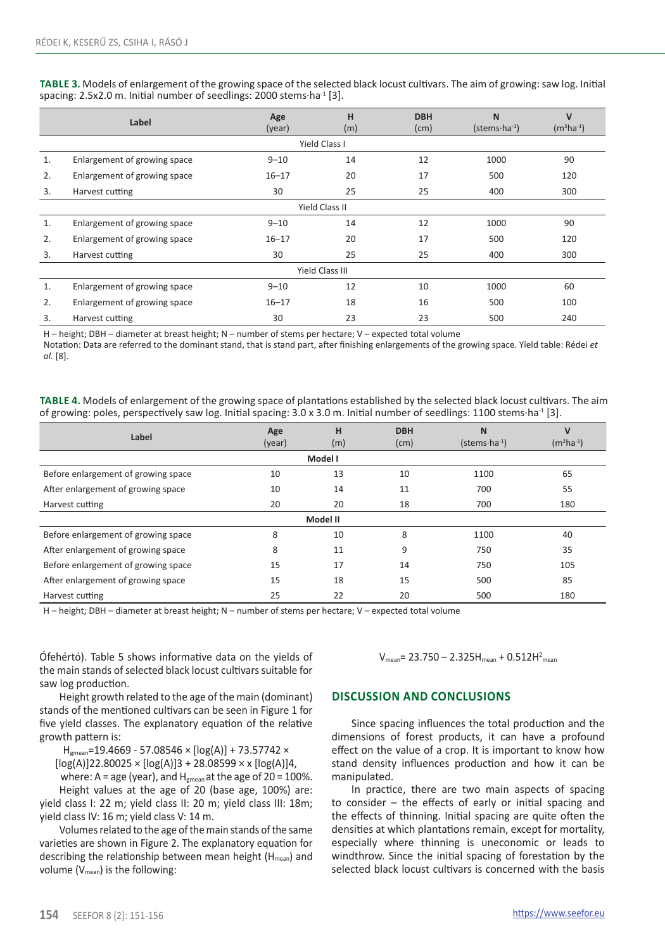**Table 3.** Models of enlargement of the growing space of the selected black locust cultivars. The aim of growing: saw log. Initial spacing: 2.5x2.0 m. Initial number of seedlings: 2000 stems·ha<sup>-1</sup> [3].

|                        | Label                        | Age<br>(year) | н<br>(m) | <b>DBH</b><br>(cm) | N<br>$(s$ tems $\cdot$ ha <sup>-1</sup> ) | $\mathbf v$<br>$(m^3ha^{-1})$ |  |
|------------------------|------------------------------|---------------|----------|--------------------|-------------------------------------------|-------------------------------|--|
|                        | Yield Class I                |               |          |                    |                                           |                               |  |
| 1.                     | Enlargement of growing space | $9 - 10$      | 14       | 12                 | 1000                                      | 90                            |  |
| 2.                     | Enlargement of growing space | $16 - 17$     | 20       | 17                 | 500                                       | 120                           |  |
| 3.                     | Harvest cutting              | 30            | 25       | 25                 | 400                                       | 300                           |  |
| Yield Class II         |                              |               |          |                    |                                           |                               |  |
| 1.                     | Enlargement of growing space | $9 - 10$      | 14       | 12                 | 1000                                      | 90                            |  |
| 2.                     | Enlargement of growing space | $16 - 17$     | 20       | 17                 | 500                                       | 120                           |  |
| 3.                     | Harvest cutting              | 30            | 25       | 25                 | 400                                       | 300                           |  |
| <b>Yield Class III</b> |                              |               |          |                    |                                           |                               |  |
| 1.                     | Enlargement of growing space | $9 - 10$      | 12       | 10                 | 1000                                      | 60                            |  |
| 2.                     | Enlargement of growing space | $16 - 17$     | 18       | 16                 | 500                                       | 100                           |  |
| 3.                     | Harvest cutting              | 30            | 23       | 23                 | 500                                       | 240                           |  |

H – height; DBH – diameter at breast height; N – number of stems per hectare; V – expected total volume

Notation: Data are referred to the dominant stand, that is stand part, after finishing enlargements of the growing space. Yield table: Rédei *et al.* [8].

**Table 4.** Models of enlargement of the growing space of plantations established by the selected black locust cultivars. The aim of growing: poles, perspectively saw log. Initial spacing: 3.0 x 3.0 m. Initial number of seedlings: 1100 stems ha<sup>-1</sup> [3].

| Label                               | Age<br>(year) | н<br>(m) | <b>DBH</b><br>(cm) | N<br>$(\text{stems} \cdot \text{ha}^{-1})$ | $\mathsf{V}$<br>$(m^3ha^{-1})$ |
|-------------------------------------|---------------|----------|--------------------|--------------------------------------------|--------------------------------|
|                                     |               | Model I  |                    |                                            |                                |
| Before enlargement of growing space | 10            | 13       | 10                 | 1100                                       | 65                             |
| After enlargement of growing space  | 10            | 14       | 11                 | 700                                        | 55                             |
| Harvest cutting                     | 20            | 20       | 18                 | 700                                        | 180                            |
|                                     |               | Model II |                    |                                            |                                |
| Before enlargement of growing space | 8             | 10       | 8                  | 1100                                       | 40                             |
| After enlargement of growing space  | 8             | 11       | 9                  | 750                                        | 35                             |
| Before enlargement of growing space | 15            | 17       | 14                 | 750                                        | 105                            |
| After enlargement of growing space  | 15            | 18       | 15                 | 500                                        | 85                             |
| Harvest cutting                     | 25            | 22       | 20                 | 500                                        | 180                            |

H – height; DBH – diameter at breast height; N – number of stems per hectare; V – expected total volume

Ófehértó). Table 5 shows informative data on the yields of the main stands of selected black locust cultivars suitable for saw log production.

Height growth related to the age of the main (dominant) stands of the mentioned cultivars can be seen in Figure 1 for five yield classes. The explanatory equation of the relative growth pattern is:

Hgmean=19.4669 - 57.08546 × [log(A)] + 73.57742 ×

 $\log(A)$ ]22.80025 ×  $\log(A)$ ]3 + 28.08599 × x  $\log(A)$ ]4,

where:  $A = age$  (year), and  $H_{green}$  at the age of 20 = 100%. Height values at the age of 20 (base age, 100%) are: yield class I: 22 m; yield class II: 20 m; yield class III: 18m; yield class IV: 16 m; yield class V: 14 m.

Volumes related to the age of the main stands of the same varieties are shown in Figure 2. The explanatory equation for describing the relationship between mean height ( $H_{mean}$ ) and volume  $(V_{mean})$  is the following:

 $V_{mean}$ = 23.750 – 2.325H<sub>mean</sub> + 0.512H<sup>2</sup><sub>mean</sub>

# **Discussion and conclusions**

Since spacing influences the total production and the dimensions of forest products, it can have a profound effect on the value of a crop. It is important to know how stand density influences production and how it can be manipulated.

In practice, there are two main aspects of spacing to consider – the effects of early or initial spacing and the effects of thinning. Initial spacing are quite often the densities at which plantations remain, except for mortality, especially where thinning is uneconomic or leads to windthrow. Since the initial spacing of forestation by the selected black locust cultivars is concerned with the basis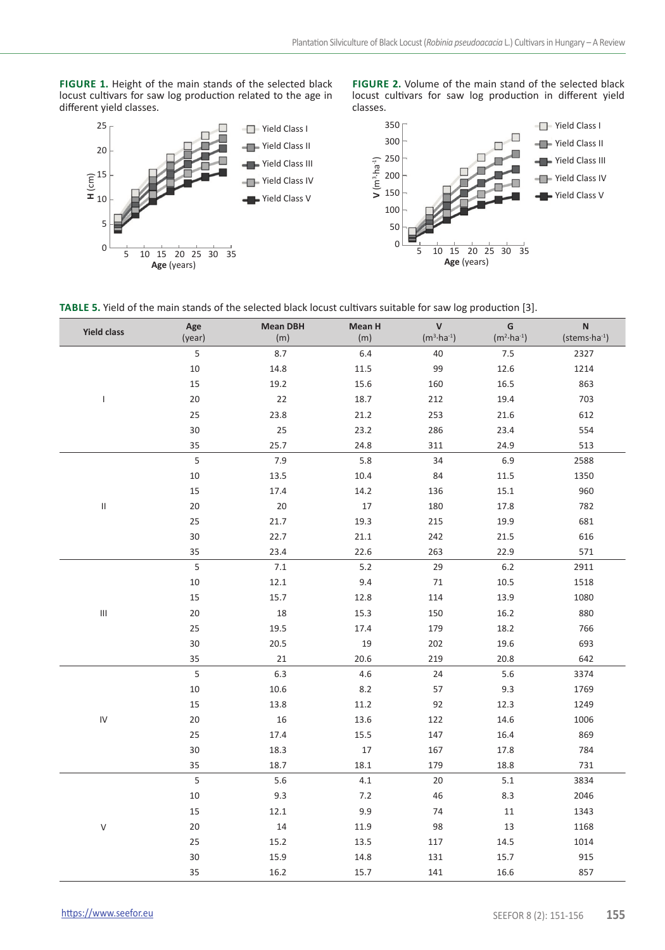FIGURE 1. Height of the main stands of the selected black locust cultivars for saw log production related to the age in different yield classes.



**Figure 2.** Volume of the main stand of the selected black locust cultivars for saw log production in different yield classes.



**Table 5.** Yield of the main stands of the selected black locust cultivars suitable for saw log production [3].

| <b>Yield class</b>                 | Age<br>(year) | <b>Mean DBH</b><br>(m) | Mean H<br>(m) | $\mathsf{v}$<br>$(m^3 \cdot ha^{-1})$ | G<br>$(m^2 \cdot ha^{-1})$ | $\mathsf N$<br>$(\text{stems} \cdot \text{ha} \cdot 1)$ |
|------------------------------------|---------------|------------------------|---------------|---------------------------------------|----------------------------|---------------------------------------------------------|
|                                    | 5             | 8.7                    | 6.4           | 40                                    | $7.5\,$                    | 2327                                                    |
|                                    | 10            | 14.8                   | 11.5          | 99                                    | 12.6                       | 1214                                                    |
|                                    | 15            | 19.2                   | 15.6          | 160                                   | 16.5                       | 863                                                     |
| T                                  | 20            | 22                     | 18.7          | 212                                   | 19.4                       | 703                                                     |
|                                    | 25            | 23.8                   | 21.2          | 253                                   | 21.6                       | 612                                                     |
|                                    | 30            | 25                     | 23.2          | 286                                   | 23.4                       | 554                                                     |
|                                    | 35            | 25.7                   | 24.8          | 311                                   | 24.9                       | 513                                                     |
|                                    | 5             | 7.9                    | 5.8           | 34                                    | 6.9                        | 2588                                                    |
|                                    | 10            | 13.5                   | 10.4          | 84                                    | $11.5\,$                   | 1350                                                    |
|                                    | 15            | 17.4                   | 14.2          | 136                                   | 15.1                       | 960                                                     |
| $\ensuremath{\mathsf{II}}$         | 20            | 20                     | 17            | 180                                   | 17.8                       | 782                                                     |
|                                    | 25            | 21.7                   | 19.3          | 215                                   | 19.9                       | 681                                                     |
|                                    | 30            | 22.7                   | 21.1          | 242                                   | 21.5                       | 616                                                     |
|                                    | 35            | 23.4                   | 22.6          | 263                                   | 22.9                       | 571                                                     |
|                                    | 5             | 7.1                    | 5.2           | 29                                    | $6.2$                      | 2911                                                    |
|                                    | 10            | 12.1                   | 9.4           | 71                                    | 10.5                       | 1518                                                    |
|                                    | 15            | 15.7                   | 12.8          | 114                                   | 13.9                       | 1080                                                    |
| $\ensuremath{\mathsf{III}}\xspace$ | 20            | 18                     | 15.3          | 150                                   | 16.2                       | 880                                                     |
|                                    | 25            | 19.5                   | 17.4          | 179                                   | 18.2                       | 766                                                     |
|                                    | 30            | 20.5                   | 19            | 202                                   | 19.6                       | 693                                                     |
|                                    | 35            | 21                     | 20.6          | 219                                   | 20.8                       | 642                                                     |
|                                    | 5             | 6.3                    | 4.6           | 24                                    | 5.6                        | 3374                                                    |
|                                    | $10\,$        | 10.6                   | 8.2           | 57                                    | 9.3                        | 1769                                                    |
|                                    | 15            | 13.8                   | 11.2          | 92                                    | 12.3                       | 1249                                                    |
| ${\sf IV}$                         | 20            | 16                     | 13.6          | 122                                   | 14.6                       | 1006                                                    |
|                                    | 25            | 17.4                   | 15.5          | 147                                   | 16.4                       | 869                                                     |
|                                    | 30            | 18.3                   | 17            | 167                                   | 17.8                       | 784                                                     |
|                                    | 35            | 18.7                   | 18.1          | 179                                   | 18.8                       | 731                                                     |
|                                    | 5             | 5.6                    | $4.1\,$       | 20                                    | $5.1\,$                    | 3834                                                    |
|                                    | 10            | 9.3                    | 7.2           | 46                                    | 8.3                        | 2046                                                    |
|                                    | 15            | 12.1                   | 9.9           | 74                                    | 11                         | 1343                                                    |
| $\mathsf V$                        | 20            | 14                     | 11.9          | 98                                    | 13                         | 1168                                                    |
|                                    | 25            | 15.2                   | 13.5          | 117                                   | 14.5                       | 1014                                                    |
|                                    | 30            | 15.9                   | 14.8          | 131                                   | 15.7                       | 915                                                     |
|                                    | 35            | 16.2                   | 15.7          | 141                                   | 16.6                       | 857                                                     |